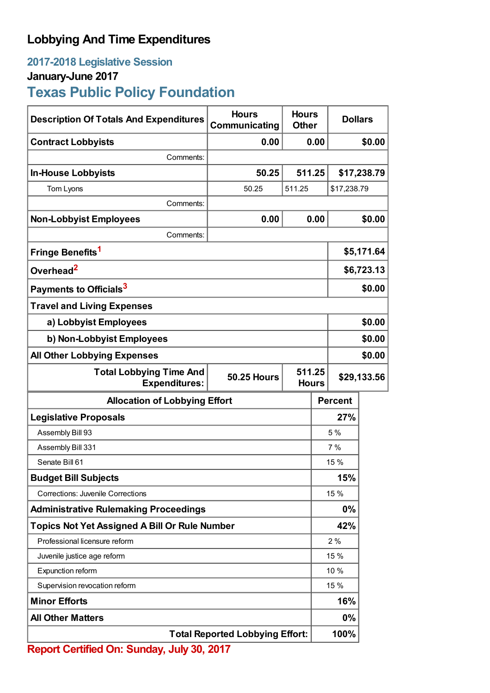## **Lobbying And Time Expenditures**

## **2017-2018 Legislative Session**

## **January-June 2017**

# **Texas Public Policy Foundation**

| <b>Description Of Totals And Expenditures</b>          | <b>Hours</b><br>Communicating                | <b>Hours</b><br><b>Other</b> |                | <b>Dollars</b> |             |
|--------------------------------------------------------|----------------------------------------------|------------------------------|----------------|----------------|-------------|
| <b>Contract Lobbyists</b>                              | 0.00                                         |                              | 0.00           |                | \$0.00      |
| Comments:                                              |                                              |                              |                |                |             |
| <b>In-House Lobbyists</b>                              | 50.25                                        | 511.25                       |                |                | \$17,238.79 |
| Tom Lyons                                              | 50.25                                        | 511.25                       |                | \$17,238.79    |             |
| Comments:                                              |                                              |                              |                |                |             |
| <b>Non-Lobbyist Employees</b>                          | 0.00                                         |                              | 0.00           |                | \$0.00      |
| Comments:                                              |                                              |                              |                |                |             |
| Fringe Benefits <sup>1</sup>                           |                                              |                              |                | \$5,171.64     |             |
| Overhead <sup>2</sup>                                  |                                              |                              |                | \$6,723.13     |             |
| Payments to Officials <sup>3</sup>                     |                                              |                              |                |                | \$0.00      |
| <b>Travel and Living Expenses</b>                      |                                              |                              |                |                |             |
| a) Lobbyist Employees                                  |                                              |                              |                | \$0.00         |             |
| b) Non-Lobbyist Employees                              |                                              |                              |                | \$0.00         |             |
| <b>All Other Lobbying Expenses</b>                     |                                              |                              |                | \$0.00         |             |
| <b>Total Lobbying Time And</b><br><b>Expenditures:</b> | 511.25<br><b>50.25 Hours</b><br><b>Hours</b> |                              |                | \$29,133.56    |             |
| <b>Allocation of Lobbying Effort</b>                   |                                              |                              | <b>Percent</b> |                |             |
| <b>Legislative Proposals</b>                           |                                              |                              |                | 27%            |             |
| Assembly Bill 93                                       |                                              |                              | 5%             |                |             |
| Assembly Bill 331                                      |                                              |                              | 7%             |                |             |
| Senate Bill 61                                         |                                              |                              |                | 15%            |             |
| <b>Budget Bill Subjects</b>                            |                                              |                              | 15%            |                |             |
| <b>Corrections: Juvenile Corrections</b>               |                                              |                              | 15 %           |                |             |
| <b>Administrative Rulemaking Proceedings</b>           |                                              |                              | 0%             |                |             |
| <b>Topics Not Yet Assigned A Bill Or Rule Number</b>   |                                              |                              | 42%            |                |             |
| Professional licensure reform                          |                                              |                              | 2%             |                |             |
| Juvenile justice age reform                            |                                              |                              | 15 %           |                |             |
| Expunction reform                                      |                                              |                              | 10 %           |                |             |
| Supervision revocation reform                          |                                              |                              | 15 %           |                |             |
| <b>Minor Efforts</b>                                   |                                              |                              | 16%            |                |             |
| <b>All Other Matters</b>                               |                                              |                              | 0%             |                |             |
| <b>Total Reported Lobbying Effort:</b>                 |                                              |                              |                | 100%           |             |

**Report Certified On: Sunday, July 30, 2017**